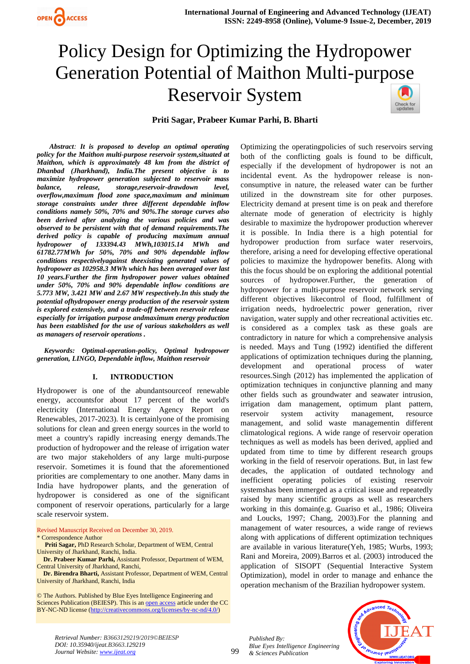

# Policy Design for Optimizing the Hydropower Generation Potential of Maithon Multi-purpose Reservoir System Check for<br>updates

## **Priti Sagar, Prabeer Kumar Parhi, B. Bharti**

 *Abstract: It is proposed to develop an optimal operating policy for the Maithon multi-purpose reservoir system,situated at Maithon, which is approximately 48 km from the district of Dhanbad (Jharkhand), India.The present objective is to maximize hydropower generation subjected to reservoir mass balance, release, storage,reservoir-drawdown level, overflow,maximum flood zone space,maximum and minimum storage constraints under three different dependable inflow conditions namely 50%, 70% and 90%.The storage curves also been derived after analyzing the various policies and was observed to be persistent with that of demand requirements.The derived policy is capable of producing maximum annual hydropower of 133394.43 MWh,103015.14 MWh and 61782.77MWh for 50%, 70% and 90% dependable inflow conditions respectivelyagainst theexisting generated values of hydropower as 102958.3 MWh which has been averaged over last 10 years.Further the firm hydropower power values obtained under 50%, 70% and 90% dependable inflow conditions are 5.773 MW, 3.421 MW and 2.67 MW respectively.In this study the potential ofhydropower energy production of the reservoir system is explored extensively, and a trade-off between reservoir release especially for irrigation purpose andmaximum energy production has been established for the use of various stakeholders as well as managers of reservoir operations .*

 *Keywords: Optimal-operation-policy, Optimal hydropower generation, LINGO, Dependable inflow, Maithon reservoir*

## **I. INTRODUCTION**

Hydropower is one of the abundantsourceof renewable energy, accountsfor about 17 percent of the world's electricity (International Energy Agency Report on Renewables, 2017-2023). It is certainlyone of the promising solutions for clean and green energy sources in the world to meet a country's rapidly increasing energy demands.The production of hydropower and the release of irrigation water are two major stakeholders of any large multi-purpose reservoir. Sometimes it is found that the aforementioned priorities are complementary to one another. Many dams in India have hydropower plants, and the generation of hydropower is considered as one of the significant component of reservoir operations, particularly for a large scale reservoir system.

Revised Manuscript Received on December 30, 2019.

\* Correspondence Author

- **Priti Sagar,** PhD Research Scholar, Department of WEM, Central University of Jharkhand, Ranchi, India.
- **Dr. Prabeer Kumar Parhi,** Assistant Professor, Department of WEM, Central University of Jharkhand, Ranchi,

 **Dr. Birendra Bharti,** Assistant Professor, Department of WEM, Central University of Jharkhand, Ranchi, India

© The Authors. Published by Blue Eyes Intelligence Engineering and Sciences Publication (BEIESP). This is a[n open access](https://www.openaccess.nl/en/open-publications) article under the CC BY-NC-ND license [\(http://creativecommons.org/licenses/by-nc-nd/4.0/\)](http://creativecommons.org/licenses/by-nc-nd/4.0/)

Optimizing the operatingpolicies of such reservoirs serving both of the conflicting goals is found to be difficult, especially if the development of hydropower is not an incidental event. As the hydropower release is nonconsumptive in nature, the released water can be further utilized in the downstream site for other purposes. Electricity demand at present time is on peak and therefore alternate mode of generation of electricity is highly desirable to maximize the hydropower production wherever it is possible. In India there is a high potential for hydropower production from surface water reservoirs, therefore, arising a need for developing effective operational policies to maximize the hydropower benefits. Along with this the focus should be on exploring the additional potential sources of hydropower.Further, the generation of hydropower for a multi-purpose reservoir network serving different objectives likecontrol of flood, fulfillment of irrigation needs, hydroelectric power generation, river navigation, water supply and other recreational activities etc. is considered as a complex task as these goals are contradictory in nature for which a comprehensive analysis is needed. Mays and Tung (1992) identified the different applications of optimization techniques during the planning, development and operational process of water resources.Singh (2012) has implemented the application of optimization techniques in conjunctive planning and many other fields such as groundwater and seawater intrusion, irrigation dam management, optimum plant pattern, reservoir system activity management, resource management, and solid waste managementin different climatological regions. A wide range of reservoir operation techniques as well as models has been derived, applied and updated from time to time by different research groups working in the field of reservoir operations. But, in last few decades, the application of outdated technology and inefficient operating policies of existing reservoir systemshas been immerged as a critical issue and repeatedly raised by many scientific groups as well as researchers working in this domain(e.g. Guariso et al., 1986; Oliveira and Loucks, 1997; Chang, 2003).For the planning and management of water resources, a wide range of reviews along with applications of different optimization techniques are available in various literature(Yeh, 1985; Wurbs, 1993; Rani and Moreira, 2009).Barros et al. (2003) introduced the application of SISOPT (Sequential Interactive System Optimization), model in order to manage and enhance the operation mechanism of the Brazilian hydropower system.



*Retrieval Number: B3663129219/2019©BEIESP DOI: 10.35940/ijeat.B3663.129219 Journal Website[: www.ijeat.org](http://www.ijeat.org/)*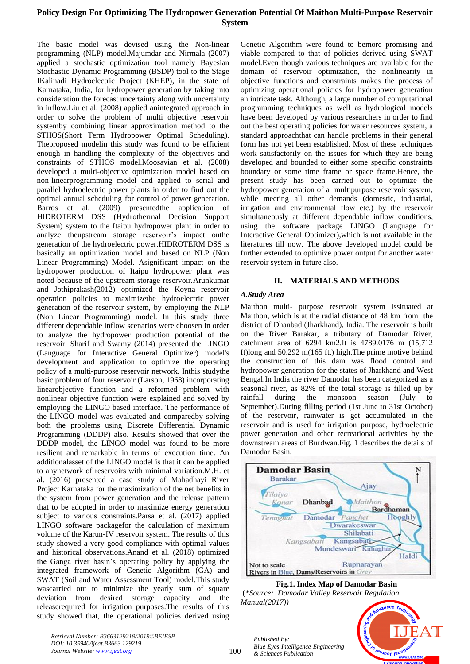The basic model was devised using the Non-linear programming (NLP) model.Majumdar and Nirmala (2007) applied a stochastic optimization tool namely Bayesian Stochastic Dynamic Programming (BSDP) tool to the Stage IKalinadi Hydroelectric Project (KHEP), in the state of Karnataka, India, for hydropower generation by taking into consideration the forecast uncertainty along with uncertainty in inflow.Liu et al. (2008) applied anintegrated approach in order to solve the problem of multi objective reservoir systemby combining linear approximation method to the STHOS(Short Term Hydropower Optimal Scheduling). Theproposed modelin this study was found to be efficient enough in handling the complexity of the objectives and constraints of STHOS model.Moosavian et al. (2008) developed a multi-objective optimization model based on non-linearprogramming model and applied to serial and parallel hydroelectric power plants in order to find out the optimal annual scheduling for control of power generation. Barros et al. (2009) presentedthe application of HIDROTERM DSS (Hydrothermal Decision Support System) system to the Itaipu hydropower plant in order to analyze theupstream storage reservoir's impact onthe generation of the hydroelectric power.HIDROTERM DSS is basically an optimization model and based on NLP (Non Linear Programming) Model. Asignificant impact on the hydropower production of Itaipu hydropower plant was noted because of the upstream storage reservoir.Arunkumar and Jothiprakash(2012) optimized the Koyna reservoir operation policies to maximizethe hydroelectric power generation of the reservoir system, by employing the NLP (Non Linear Programming) model. In this study three different dependable inflow scenarios were choosen in order to analyze the hydropower production potential of the reservoir. Sharif and Swamy (2014) presented the LINGO (Language for Interactive General Optimizer) model's development and application to optimize the operating policy of a multi-purpose reservoir network. Inthis studythe basic problem of four reservoir (Larson, 1968) incorporating linearobjective function and a reformed problem with nonlinear objective function were explained and solved by employing the LINGO based interface. The performance of the LINGO model was evaluated and comparedby solving both the problems using Discrete Differential Dynamic Programming (DDDP) also. Results showed that over the DDDP model, the LINGO model was found to be more resilient and remarkable in terms of execution time. An additionalasset of the LINGO model is that it can be applied to anynetwork of reservoirs with minimal variation.M.H. et al. (2016) presented a case study of Mahadhayi River Project Karnataka for the maximization of the net benefits in the system from power generation and the release pattern that to be adopted in order to maximize energy generation subject to various constraints.Parsa et al. (2017) applied LINGO software packagefor the calculation of maximum volume of the Karun-IV reservoir system. The results of this study showed a very good compliance with optimal values and historical observations.Anand et al. (2018) optimized the Ganga river basin's operating policy by applying the integrated framework of Genetic Algorithm (GA) and SWAT (Soil and Water Assessment Tool) model.This study wascarried out to minimize the yearly sum of square deviation from desired storage capacity and the releaserequired for irrigation purposes.The results of this study showed that, the operational policies derived using

Genetic Algorithm were found to bemore promising and viable compared to that of policies derived using SWAT model.Even though various techniques are available for the domain of reservoir optimization, the nonlinearity in objective functions and constraints makes the process of optimizing operational policies for hydropower generation an intricate task. Although, a large number of computational programming techniques as well as hydrological models have been developed by various researchers in order to find out the best operating policies for water resources system, a standard approachthat can handle problems in their general form has not yet been established. Most of these techniques work satisfactorily on the issues for which they are being developed and bounded to either some specific constraints boundary or some time frame or space frame.Hence, the present study has been carried out to optimize the hydropower generation of a multipurpose reservoir system, while meeting all other demands (domestic, industrial, irrigation and environmental flow etc.) by the reservoir simultaneously at different dependable inflow conditions, using the software package LINGO (Language for Interactive General Optimizer),which is not available in the literatures till now. The above developed model could be further extended to optimize power output for another water reservoir system in future also.

## **II. MATERIALS AND METHODS**

#### *A.Study Area*

Maithon multi- purpose reservoir system issituated at Maithon, which is at the radial distance of 48 km from the district of Dhanbad (Jharkhand), India. The reservoir is built on the River Barakar, a tributary of Damodar River, catchment area of 6294 km2.It is 4789.0176 m (15,712 ft)long and 50.292 m(165 ft.) high.The prime motive behind the construction of this dam was flood control and hydropower generation for the states of Jharkhand and West Bengal.In India the river Damodar has been categorized as a seasonal river, as 82% of the total storage is filled up by rainfall during the monsoon season (July to September).During filling period (1st June to 31st October) of the reservoir, rainwater is get accumulated in the reservoir and is used for irrigation purpose, hydroelectric power generation and other recreational activities by the downstream areas of Burdwan.Fig. 1 describes the details of Damodar Basin.



**Fig.1. Index Map of Damodar Basin**

(*\*Source: Damodar Valley Reservoir Regulation Manual(2017))*



*Retrieval Number: B3663129219/2019©BEIESP DOI: 10.35940/ijeat.B3663.129219 Journal Website[: www.ijeat.org](http://www.ijeat.org/)*

*Published By:*

*& Sciences Publication*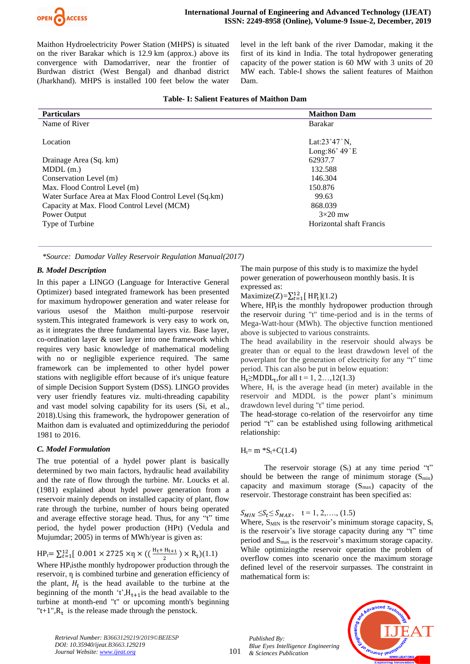

Maithon Hydroelectricity Power Station (MHPS) is situated on the river Barakar which is 12.9 km (approx.) above its convergence with Damodarriver, near the frontier of Burdwan district (West Bengal) and dhanbad district (Jharkhand). MHPS is installed 100 feet below the water level in the left bank of the river Damodar, making it the first of its kind in India. The total hydropower generating capacity of the power station is 60 MW with 3 units of 20 MW each. Table-I shows the salient features of Maithon Dam.

|  |  |  | <b>Table- I: Salient Features of Maithon Dam</b> |  |
|--|--|--|--------------------------------------------------|--|
|--|--|--|--------------------------------------------------|--|

| <b>Particulars</b>                                    | <b>Maithon Dam</b>              |
|-------------------------------------------------------|---------------------------------|
| Name of River                                         | Barakar                         |
|                                                       |                                 |
| Location                                              | Lat: $23°47'$ N.                |
|                                                       | Long: $86^\circ$ 49 $\degree$ E |
| Drainage Area (Sq. km)                                | 62937.7                         |
| $MDDL$ (m.)                                           | 132.588                         |
| Conservation Level (m)                                | 146.304                         |
| Max. Flood Control Level (m)                          | 150.876                         |
| Water Surface Area at Max Flood Control Level (Sq.km) | 99.63                           |
| Capacity at Max. Flood Control Level (MCM)            | 868.039                         |
| Power Output                                          | $3\times20$ mw                  |
| Type of Turbine                                       | Horizontal shaft Francis        |
|                                                       |                                 |

*\*Source: Damodar Valley Reservoir Regulation Manual(2017)*

## *B. Model Description*

In this paper a LINGO (Language for Interactive General Optimizer) based integrated framework has been presented for maximum hydropower generation and water release for various usesof the Maithon multi-purpose reservoir system.This integrated framework is very easy to work on, as it integrates the three fundamental layers viz. Base layer, co-ordination layer & user layer into one framework which requires very basic knowledge of mathematical modeling with no or negligible experience required. The same framework can be implemented to other hydel power stations with negligible effort because of it's unique feature of simple Decision Support System (DSS). LINGO provides very user friendly features viz. multi-threading capability and vast model solving capability for its users (Si, et al., 2018).Using this framework, the hydropower generation of Maithon dam is evaluated and optimizedduring the periodof 1981 to 2016.

## *C. Model Formulation*

The true potential of a hydel power plant is basically determined by two main factors, hydraulic head availability and the rate of flow through the turbine. Mr. Loucks et al. (1981) explained about hydel power generation from a reservoir mainly depends on installed capacity of plant, flow rate through the turbine, number of hours being operated and average effective storage head. Thus, for any "t" time period, the hydel power production (HPt) (Vedula and Mujumdar; 2005) in terms of MWh/year is given as:

 $HP_t = \sum_{t=1}^{12} [0.001 \times 2725 \times \eta \times ((\frac{H_t + H_{t+1}}{2})$  $\frac{n_{t+1}}{2}$ ) × R<sub>t</sub>)(1.1)

Where HP<sub>t</sub>isthe monthly hydropower production through the reservoir,  $\eta$  is combined turbine and generation efficiency of the plant,  $H_t$  is the head available to the turbine at the beginning of the month 't', $H_{t+1}$  is the head available to the turbine at month-end "t" or upcoming month's beginning " $t+1$ ",  $R_t$  is the release made through the penstock.

The main purpose of this study is to maximize the hydel power generation of powerhouseon monthly basis. It is expressed as:

Maximize(Z)= $\sum_{t=1}^{12}$ [ HP<sub>t</sub>](1.2)

Where, HP<sub>t</sub> is the monthly hydropower production through the reservoir during "t" time-period and is in the terms of Mega-Watt-hour (MWh). The objective function mentioned above is subjected to various constraints.

The head availability in the reservoir should always be greater than or equal to the least drawdown level of the powerplant for the generation of electricity for any "t" time period. This can also be put in below equation:

 $H_t \geq M D D L_t$ , for all t = 1, 2..., 12(1.3)

Where,  $H_t$  is the average head (in meter) available in the reservoir and MDDL is the power plant's minimum drawdown level during "t" time period.

The head-storage co-relation of the reservoirfor any time period "t" can be established using following arithmetical relationship:

 $H<sub>t</sub>= m *S<sub>t</sub>+C(1.4)$ 

The reservoir storage  $(S_t)$  at any time period "t" should be between the range of minimum storage  $(S_{min})$ capacity and maximum storage  $(S_{\text{max}})$  capacity of the reservoir. Thestorage constraint has been specified as:

# $S_{MIN} \le S_t \le S_{MAX}$ ,  $t = 1, 2, ..., (1.5)$

Where,  $S_{MIN}$  is the reservoir's minimum storage capacity,  $S_t$ is the reservoir's live storage capacity during any "t" time period and Smax is the reservoir's maximum storage capacity. While optimizingthe reservoir operation the problem of overflow comes into scenario once the maximum storage defined level of the reservoir surpasses. The constraint in mathematical form is:

*Published By: Blue Eyes Intelligence Engineering & Sciences Publication* 



*Retrieval Number: B3663129219/2019©BEIESP DOI: 10.35940/ijeat.B3663.129219 Journal Website[: www.ijeat.org](http://www.ijeat.org/)*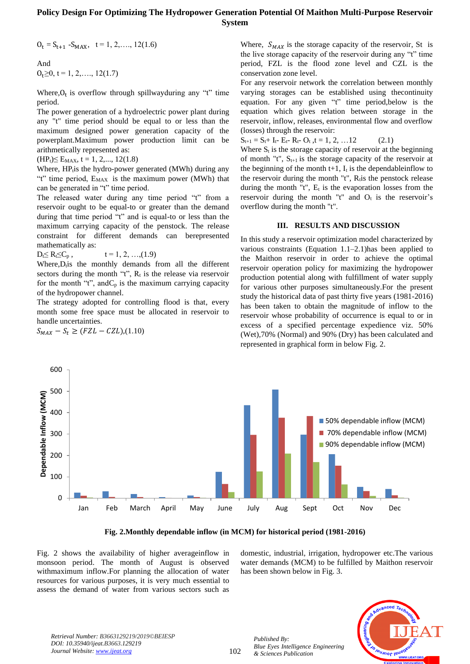$O_t = S_{t+1} - S_{MAX}$ ,  $t = 1, 2, \dots, 12(1.6)$ 

And  $O_t \geq 0$ , t = 1, 2, ..., 12(1.7)

Where, $O_t$  is overflow through spillwayduring any "t" time period.

The power generation of a hydroelectric power plant during any "t" time period should be equal to or less than the maximum designed power generation capacity of the powerplant.Maximum power production limit can be arithmetically represented as:

 $(HP_t) \leq E_{MAX}$ , t = 1, 2,..., 12(1.8)

Where,  $HP<sub>t</sub>$ is the hydro-power generated (MWh) during any "t" time period, E<sub>MAX</sub> is the maximum power (MWh) that can be generated in "t" time period.

The released water during any time period "t" from a reservoir ought to be equal-to or greater than the demand during that time period "t" and is equal-to or less than the maximum carrying capacity of the penstock. The release constraint for different demands can berepresented mathematically as:

 $D_t \le R_t \le C_p$ ,  $t = 1, 2, ..., (1.9)$ 

Where,  $D_t$  is the monthly demands from all the different sectors during the month "t",  $R_t$  is the release via reservoir for the month "t", and  $C_p$  is the maximum carrying capacity of the hydropower channel.

The strategy adopted for controlling flood is that, every month some free space must be allocated in reservoir to handle uncertainties.

 $S_{MAX} - S_t \geq (FZL - CZL)$ ,(1.10)

Where,  $S_{MAX}$  is the storage capacity of the reservoir, St is the live storage capacity of the reservoir during any "t" time period, FZL is the flood zone level and CZL is the conservation zone level.

For any reservoir network the correlation between monthly varying storages can be established using thecontinuity equation. For any given "t" time period,below is the equation which gives relation between storage in the reservoir, inflow, releases, environmental flow and overflow (losses) through the reservoir:

 $S_{t+1} = S_t + I_t - E_t - R_t - O_t$ ,  $t = 1, 2, ... 12$  (2.1)

Where  $S_t$  is the storage capacity of reservoir at the beginning of month "t",  $S_{t+1}$  is the storage capacity of the reservoir at the beginning of the month  $t+1$ ,  $I_t$  is the dependable inflow to the reservoir during the month "t",  $R<sub>i</sub>$  is the penstock release during the month "t",  $E_t$  is the evaporation losses from the reservoir during the month "t" and  $O_t$  is the reservoir's overflow during the month "t".

### **III. RESULTS AND DISCUSSION**

In this study a reservoir optimization model characterized by various constraints (Equation 1.1–2.1)has been applied to the Maithon reservoir in order to achieve the optimal reservoir operation policy for maximizing the hydropower production potential along with fulfillment of water supply for various other purposes simultaneously.For the present study the historical data of past thirty five years (1981-2016) has been taken to obtain the magnitude of inflow to the reservoir whose probability of occurrence is equal to or in excess of a specified percentage expedience viz. 50% (Wet),70% (Normal) and 90% (Dry) has been calculated and represented in graphical form in below Fig. 2.



**Fig. 2.Monthly dependable inflow (in MCM) for historical period (1981-2016)**

Fig. 2 shows the availability of higher averageinflow in monsoon period. The month of August is observed withmaximum inflow.For planning the allocation of water resources for various purposes, it is very much essential to assess the demand of water from various sectors such as domestic, industrial, irrigation, hydropower etc.The various water demands (MCM) to be fulfilled by Maithon reservoir has been shown below in Fig. 3.



*Retrieval Number: B3663129219/2019©BEIESP DOI: 10.35940/ijeat.B3663.129219 Journal Website[: www.ijeat.org](http://www.ijeat.org/)*

*Published By:*

*& Sciences Publication*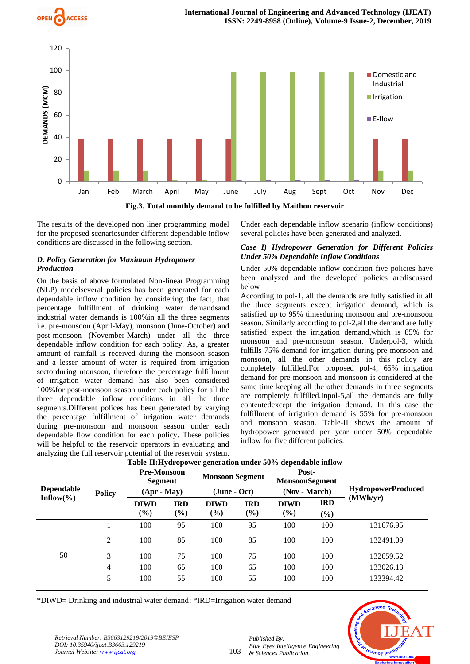



The results of the developed non liner programming model for the proposed scenariosunder different dependable inflow conditions are discussed in the following section.

## *D. Policy Generation for Maximum Hydropower Production*

On the basis of above formulated Non-linear Programming (NLP) modelseveral policies has been generated for each dependable inflow condition by considering the fact, that percentage fulfillment of drinking water demandsand industrial water demands is 100%in all the three segments i.e. pre-monsoon (April-May), monsoon (June-October) and post-monsoon (November-March) under all the three dependable inflow condition for each policy. As, a greater amount of rainfall is received during the monsoon season and a lesser amount of water is required from irrigation sectorduring monsoon, therefore the percentage fulfillment of irrigation water demand has also been considered 100%for post-monsoon season under each policy for all the three dependable inflow conditions in all the three segments.Different polices has been generated by varying the percentage fulfillment of irrigation water demands during pre-monsoon and monsoon season under each dependable flow condition for each policy. These policies will be helpful to the reservoir operators in evaluating and analyzing the full reservoir potential of the reservoir system.

Under each dependable inflow scenario (inflow conditions) several policies have been generated and analyzed.

## *Case I) Hydropower Generation for Different Policies Under 50% Dependable Inflow Conditions*

Under 50% dependable inflow condition five policies have been analyzed and the developed policies arediscussed below

According to pol-1, all the demands are fully satisfied in all the three segments except irrigation demand, which is satisfied up to 95% timesduring monsoon and pre-monsoon season. Similarly according to pol-2,all the demand are fully satisfied expect the irrigation demand,which is 85% for monsoon and pre-monsoon season. Underpol-3, which fulfills 75% demand for irrigation during pre-monsoon and monsoon, all the other demands in this policy are completely fulfilled.For proposed pol-4, 65% irrigation demand for pre-monsoon and monsoon is considered at the same time keeping all the other demands in three segments are completely fulfilled.Inpol-5,all the demands are fully contentedexcept the irrigation demand. In this case the fulfillment of irrigation demand is 55% for pre-monsoon and monsoon season. Table-II shows the amount of hydropower generated per year under 50% dependable inflow for five different policies.

| <b>Dependable</b>    | <b>Policy</b>  | <b>Pre-Monsoon</b><br>Segment<br>$(Apr - May)$ |                      | <b>Monsoon Segment</b><br>$(June - Oct)$ |                   | Table-H.Hyuropower generation under 50% dependable him w<br>Post-<br><b>MonsoonSegment</b><br>(Nov - March) |                      | <b>HydropowerProduced</b> |
|----------------------|----------------|------------------------------------------------|----------------------|------------------------------------------|-------------------|-------------------------------------------------------------------------------------------------------------|----------------------|---------------------------|
| Inflow $\frac{6}{6}$ |                | <b>DIWD</b><br>$(\%)$                          | <b>IRD</b><br>$(\%)$ | <b>DIWD</b><br>$(\%)$                    | <b>IRD</b><br>(%) | <b>DIWD</b><br>(%)                                                                                          | <b>IRD</b><br>$(\%)$ | (MWh/yr)                  |
|                      |                | 100                                            | 95                   | 100                                      | 95                | 100                                                                                                         | 100                  | 131676.95                 |
|                      | 2              | 100                                            | 85                   | 100                                      | 85                | 100                                                                                                         | 100                  | 132491.09                 |
| 50                   | 3              | 100                                            | 75                   | 100                                      | 75                | 100                                                                                                         | 100                  | 132659.52                 |
|                      | $\overline{4}$ | 100                                            | 65                   | 100                                      | 65                | 100                                                                                                         | 100                  | 133026.13                 |
|                      | 5              | 100                                            | 55                   | 100                                      | 55                | 100                                                                                                         | 100                  | 133394.42                 |

# **Table-II:Hydropower generation under 50% dependable inflow**

\*DIWD= Drinking and industrial water demand; \*IRD=Irrigation water demand



*Retrieval Number: B3663129219/2019©BEIESP DOI: 10.35940/ijeat.B3663.129219 Journal Website[: www.ijeat.org](http://www.ijeat.org/)*

*Published By:*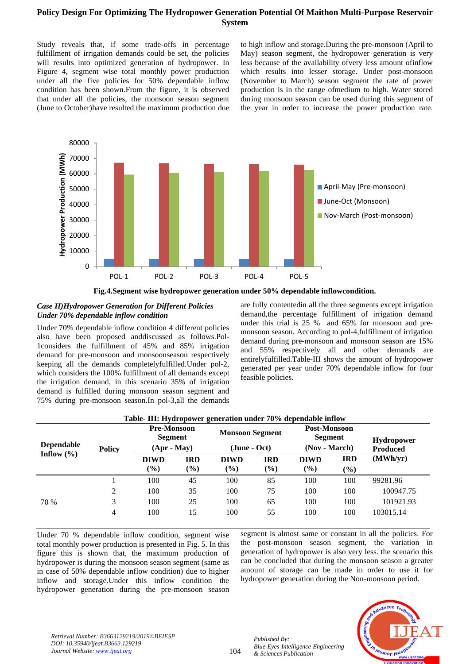Study reveals that, if some trade-offs in percentage fulfillment of irrigation demands could be set, the policies will results into optimized generation of hydropower. In Figure 4, segment wise total monthly power production under all the five policies for 50% dependable inflow condition has been shown.From the figure, it is observed that under all the policies, the monsoon season segment (June to October)have resulted the maximum production due

to high inflow and storage.During the pre-monsoon (April to May) season segment, the hydropower generation is very less because of the availability ofvery less amount ofinflow which results into lesser storage. Under post-monsoon (November to March) season segment the rate of power production is in the range ofmedium to high. Water stored during monsoon season can be used during this segment of the year in order to increase the power production rate.





## *Case II)Hydropower Generation for Different Policies Under 70% dependable inflow condition*

Under 70% dependable inflow condition 4 different policies also have been proposed anddiscussed as follows.Pol-1considers the fulfillment of 45% and 85% irrigation demand for pre-monsoon and monsoonseason respectively keeping all the demands completelyfulfilled.Under pol-2, which considers the 100% fulfillment of all demands except the irrigation demand, in this scenario 35% of irrigation demand is fulfilled during monsoon season segment and 75% during pre-monsoon season.In pol-3,all the demands are fully contentedin all the three segments except irrigation demand,the percentage fulfillment of irrigation demand under this trial is 25 % and 65% for monsoon and premonsoon season. According to pol-4,fulfillment of irrigation demand during pre-monsoon and monsoon season are 15% and 55% respectively all and other demands are entirelyfulfilled.Table-III shows the amount of hydropower generated per year under 70% dependable inflow for four feasible policies.

| <b>Dependable</b><br>Inflow $(\% )$ | <b>Policy</b> | <b>Pre-Monsoon</b><br>Segment<br>$(Apr - May)$ |                                            | <b>Monsoon Segment</b><br>$(June - Oct)$ |                   | Post-Monsoon<br><b>Segment</b><br>(Nov - March) |                      | <b>Hydropower</b><br><b>Produced</b> |
|-------------------------------------|---------------|------------------------------------------------|--------------------------------------------|------------------------------------------|-------------------|-------------------------------------------------|----------------------|--------------------------------------|
|                                     |               | <b>DIWD</b><br>$\left(\frac{9}{6}\right)$      | <b>IRD</b><br>$\left( \frac{6}{6} \right)$ | <b>DIWD</b><br>(%)                       | <b>IRD</b><br>(%) | <b>DIWD</b><br>$(\%)$                           | <b>IRD</b><br>$(\%)$ | (MWh/yr)                             |
|                                     |               | 100                                            | 45                                         | 100                                      | 85                | 100                                             | 100                  | 99281.96                             |
|                                     | 2             | 100                                            | 35                                         | 100                                      | 75                | 100                                             | 100                  | 100947.75                            |
| 70 %                                | 3             | 100                                            | 25                                         | 100                                      | 65                | 100                                             | 100                  | 101921.93                            |
|                                     | 4             | 100                                            | 15                                         | 100                                      | 55                | 100                                             | 100                  | 103015.14                            |

# **Table- III: Hydropower generation under 70% dependable inflow**

Under 70 % dependable inflow condition, segment wise total monthly power production is presented in Fig. 5. In this figure this is shown that, the maximum production of hydropower is during the monsoon season segment (same as in case of 50% dependable inflow condition) due to higher inflow and storage.Under this inflow condition the hydropower generation during the pre-monsoon season

segment is almost same or constant in all the policies. For the post-monsoon season segment, the variation in generation of hydropower is also very less. the scenario this can be concluded that during the monsoon season a greater amount of storage can be made in order to use it for hydropower generation during the Non-monsoon period.



*Retrieval Number: B3663129219/2019©BEIESP DOI: 10.35940/ijeat.B3663.129219 Journal Website[: www.ijeat.org](http://www.ijeat.org/)*

104

*Published By: Blue Eyes Intelligence Engineering & Sciences Publication*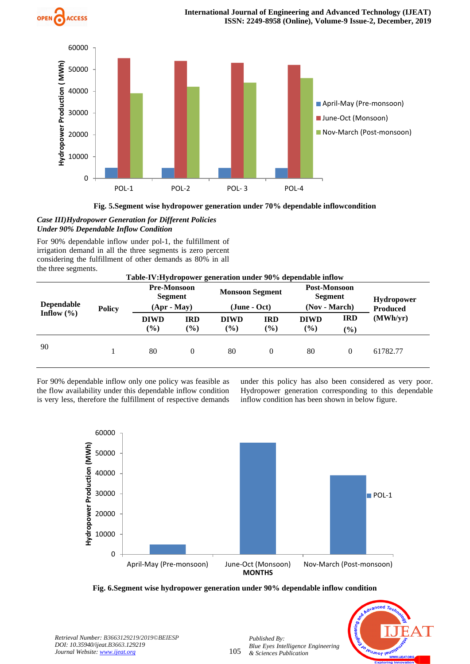



**Fig. 5.Segment wise hydropower generation under 70% dependable inflowcondition**

*Case III)Hydropower Generation for Different Policies Under 90% Dependable Inflow Condition*

For 90% dependable inflow under pol-1, the fulfillment of irrigation demand in all the three segments is zero percent considering the fulfillment of other demands as 80% in all the three segments.

| Table-IV:Hydropower generation under 90% dependable inflow |               |                                                |                      |                                          |                      |                                                 |                      |                                      |
|------------------------------------------------------------|---------------|------------------------------------------------|----------------------|------------------------------------------|----------------------|-------------------------------------------------|----------------------|--------------------------------------|
| <b>Dependable</b>                                          | <b>Policy</b> | <b>Pre-Monsoon</b><br>Segment<br>$(Apr - May)$ |                      | <b>Monsoon Segment</b><br>$(June - Oct)$ |                      | Post-Monsoon<br><b>Segment</b><br>(Nov - March) |                      | <b>Hydropower</b><br><b>Produced</b> |
| Inflow $(\% )$                                             |               | <b>DIWD</b><br>$\frac{6}{6}$                   | <b>IRD</b><br>$(\%)$ | <b>DIWD</b><br>$\frac{6}{6}$             | <b>IRD</b><br>$(\%)$ | <b>DIWD</b><br>$(\%)$                           | <b>IRD</b><br>$(\%)$ | (MWh/yr)                             |
| 90                                                         |               | 80                                             | $\Omega$             | 80                                       | $\theta$             | 80                                              | $\theta$             | 61782.77                             |

For 90% dependable inflow only one policy was feasible as the flow availability under this dependable inflow condition is very less, therefore the fulfillment of respective demands under this policy has also been considered as very poor. Hydropower generation corresponding to this dependable inflow condition has been shown in below figure.







*Retrieval Number: B3663129219/2019©BEIESP DOI: 10.35940/ijeat.B3663.129219 Journal Website[: www.ijeat.org](http://www.ijeat.org/)*

105

*Published By:*

*& Sciences Publication*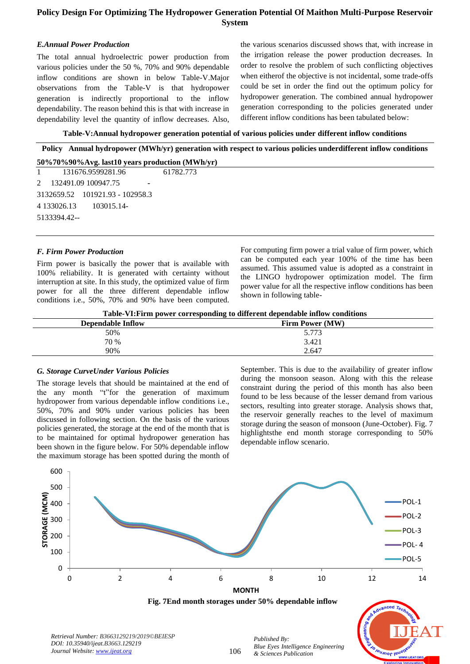## *E.Annual Power Production*

The total annual hydroelectric power production from various policies under the 50 %, 70% and 90% dependable inflow conditions are shown in below Table-V.Major observations from the Table-V is that hydropower generation is indirectly proportional to the inflow dependability. The reason behind this is that with increase in dependability level the quantity of inflow decreases. Also,

the various scenarios discussed shows that, with increase in the irrigation release the power production decreases. In order to resolve the problem of such conflicting objectives when eitherof the objective is not incidental, some trade-offs could be set in order the find out the optimum policy for hydropower generation. The combined annual hydropower generation corresponding to the policies generated under different inflow conditions has been tabulated below:

**Table-V:Annual hydropower generation potential of various policies under different inflow conditions**

**Policy Annual hydropower (MWh/yr) generation with respect to various policies underdifferent inflow conditions 50%70%90%Avg. last10 years production (MWh/yr)**

| 131676.9599281.96               | 61782.773 |
|---------------------------------|-----------|
| 2 132491.09 100947.75           |           |
| 3132659.52 101921.93 - 102958.3 |           |
| 4 133026.13<br>103015.14-       |           |
| 5133394.42-                     |           |
|                                 |           |

## *F. Firm Power Production*

Firm power is basically the power that is available with 100% reliability. It is generated with certainty without interruption at site. In this study, the optimized value of firm power for all the three different dependable inflow conditions i.e., 50%, 70% and 90% have been computed. For computing firm power a trial value of firm power, which can be computed each year 100% of the time has been assumed. This assumed value is adopted as a constraint in the LINGO hydropower optimization model. The firm power value for all the respective inflow conditions has been shown in following table-

**Table-VI:Firm power corresponding to different dependable inflow conditions**

| $-$ , $-$ , $-$ , $-$ , $-$ , $-$ , $-$ , $-$ , $-$ , $-$ , $-$ , $-$ , $-$ , $-$ , $-$ , $-$ , $-$ , $-$ , $-$ , $-$ , $-$ , $-$ , $-$ , $-$ , $-$ , $-$ , $-$ , $-$ , $-$ , $-$ , $-$ , $-$ , $-$ , $-$ , $-$ , $-$ , $-$ , |                 |  |  |  |  |
|-------------------------------------------------------------------------------------------------------------------------------------------------------------------------------------------------------------------------------|-----------------|--|--|--|--|
| <b>Dependable Inflow</b>                                                                                                                                                                                                      | Firm Power (MW) |  |  |  |  |
| 50%                                                                                                                                                                                                                           | 5.773           |  |  |  |  |
| 70 %                                                                                                                                                                                                                          | 3.421           |  |  |  |  |
| 90%                                                                                                                                                                                                                           | 2.647           |  |  |  |  |
|                                                                                                                                                                                                                               |                 |  |  |  |  |

## *G. Storage CurveUnder Various Policies*

The storage levels that should be maintained at the end of the any month "t"for the generation of maximum hydropower from various dependable inflow conditions i.e., 50%, 70% and 90% under various policies has been discussed in following section. On the basis of the various policies generated, the storage at the end of the month that is to be maintained for optimal hydropower generation has been shown in the figure below. For 50% dependable inflow the maximum storage has been spotted during the month of September. This is due to the availability of greater inflow during the monsoon season. Along with this the release constraint during the period of this month has also been found to be less because of the lesser demand from various sectors, resulting into greater storage. Analysis shows that, the reservoir generally reaches to the level of maximum storage during the season of monsoon (June-October). Fig. 7 highlightsthe end month storage corresponding to 50% dependable inflow scenario.



**Fig. 7End month storages under 50% dependable inflow**

*Published By:*

*& Sciences Publication* 

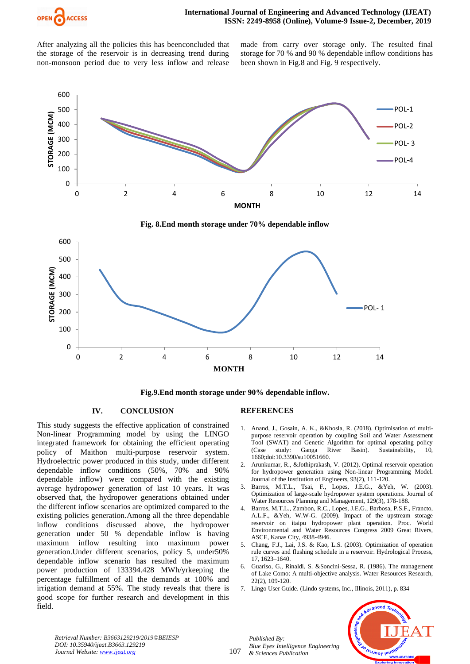

After analyzing all the policies this has beenconcluded that the storage of the reservoir is in decreasing trend during non-monsoon period due to very less inflow and release made from carry over storage only. The resulted final storage for 70 % and 90 % dependable inflow conditions has been shown in Fig.8 and Fig. 9 respectively.





**Fig.9.End month storage under 90% dependable inflow.**

## **IV. CONCLUSION**

This study suggests the effective application of constrained Non-linear Programming model by using the LINGO integrated framework for obtaining the efficient operating policy of Maithon multi-purpose reservoir system. Hydroelectric power produced in this study, under different dependable inflow conditions (50%, 70% and 90% dependable inflow) were compared with the existing average hydropower generation of last 10 years. It was observed that, the hydropower generations obtained under the different inflow scenarios are optimized compared to the existing policies generation.Among all the three dependable inflow conditions discussed above, the hydropower generation under 50 % dependable inflow is having maximum inflow resulting into maximum power generation.Under different scenarios, policy 5, under50% dependable inflow scenario has resulted the maximum power production of 133394.428 MWh/yrkeeping the percentage fulfillment of all the demands at 100% and irrigation demand at 55%. The study reveals that there is good scope for further research and development in this field.

#### **REFERENCES**

- 1. Anand, J., Gosain, A. K., &Khosla, R. (2018). Optimisation of multipurpose reservoir operation by coupling Soil and Water Assessment Tool (SWAT) and Genetic Algorithm for optimal operating policy (Case study: Ganga River Basin). Sustainability, 10, 1660;doi:10.3390/su10051660.
- 2. Arunkumar, R., &Jothiprakash, V. (2012). Optimal reservoir operation for hydropower generation using Non-linear Programming Model. Journal of the Institution of Engineers, 93(2), 111-120.
- 3. Barros, M.T.L., Tsai, F., Lopes, J.E.G., &Yeh, W. (2003). Optimization of large-scale hydropower system operations. Journal of Water Resources Planning and Management, 129(3), 178-188.
- 4. Barros, M.T.L., Zambon, R.C., Lopes, J.E.G., Barbosa, P.S.F., Francto, A.L.F., &Yeh, W.W-G. (2009). Impact of the upstream storage reservoir on itaipu hydropower plant operation. Proc. World Environmental and Water Resources Congress 2009 Great Rivers, ASCE, Kanas City, 4938-4946.
- 5. Chang, F.J., Lai, J.S. & Kao, L.S. (2003). Optimization of operation rule curves and flushing schedule in a reservoir. Hydrological Process, 17, 1623–1640.
- 6. Guariso, G., Rinaldi, S. &Soncini-Sessa, R. (1986). The management of Lake Como: A multi-objective analysis. Water Resources Research, 22(2), 109-120.
- 7. Lingo User Guide. (Lindo systems, Inc., Illinois, 2011), p. 834



*Retrieval Number: B3663129219/2019©BEIESP DOI: 10.35940/ijeat.B3663.129219 Journal Website[: www.ijeat.org](http://www.ijeat.org/)*

107

*Published By: Blue Eyes Intelligence Engineering & Sciences Publication*